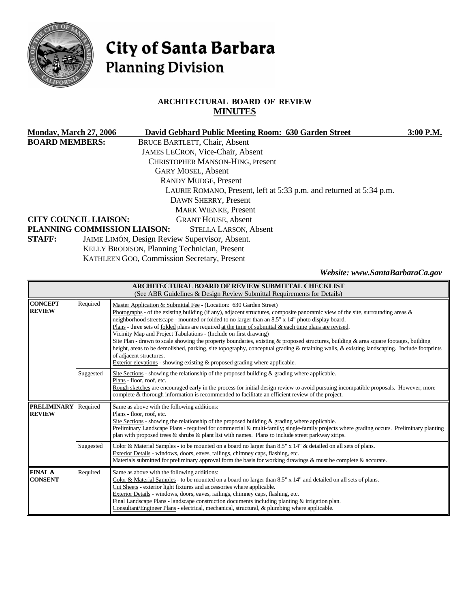

# City of Santa Barbara **Planning Division**

# **ARCHITECTURAL BOARD OF REVIEW MINUTES**

| <b>Monday, March 27, 2006</b>                                                                                              |                                              | David Gebhard Public Meeting Room: 630 Garden Street | 3:00 P.M. |  |                              |  |                            |  |  |  |
|----------------------------------------------------------------------------------------------------------------------------|----------------------------------------------|------------------------------------------------------|-----------|--|------------------------------|--|----------------------------|--|--|--|
| <b>BOARD MEMBERS:</b>                                                                                                      |                                              | <b>BRUCE BARTLETT, Chair, Absent</b>                 |           |  |                              |  |                            |  |  |  |
|                                                                                                                            |                                              | JAMES LECRON, Vice-Chair, Absent                     |           |  |                              |  |                            |  |  |  |
|                                                                                                                            |                                              | <b>CHRISTOPHER MANSON-HING, Present</b>              |           |  |                              |  |                            |  |  |  |
|                                                                                                                            |                                              | <b>GARY MOSEL, Absent</b>                            |           |  |                              |  |                            |  |  |  |
| <b>RANDY MUDGE, Present</b><br>LAURIE ROMANO, Present, left at 5:33 p.m. and returned at 5:34 p.m.<br>DAWN SHERRY, Present |                                              |                                                      |           |  |                              |  |                            |  |  |  |
|                                                                                                                            |                                              |                                                      |           |  | <b>MARK WIENKE, Present</b>  |  |                            |  |  |  |
|                                                                                                                            |                                              |                                                      |           |  | <b>CITY COUNCIL LIAISON:</b> |  | <b>GRANT HOUSE, Absent</b> |  |  |  |
|                                                                                                                            | PLANNING COMMISSION LIAISON:                 | <b>STELLA LARSON, Absent</b>                         |           |  |                              |  |                            |  |  |  |
| <b>STAFF:</b>                                                                                                              |                                              | JAIME LIMÓN, Design Review Supervisor, Absent.       |           |  |                              |  |                            |  |  |  |
|                                                                                                                            | KELLY BRODISON, Planning Technician, Present |                                                      |           |  |                              |  |                            |  |  |  |
|                                                                                                                            |                                              | KATHLEEN GOO, Commission Secretary, Present          |           |  |                              |  |                            |  |  |  |

*Website: www.SantaBarbaraCa.gov* 

| ARCHITECTURAL BOARD OF REVIEW SUBMITTAL CHECKLIST<br>(See ABR Guidelines & Design Review Submittal Requirements for Details) |           |                                                                                                                                                                                                                                                                                                                                                                                                                                                                                                                                                                                                                                                                                                                                                                                                                                                                                                   |  |  |  |
|------------------------------------------------------------------------------------------------------------------------------|-----------|---------------------------------------------------------------------------------------------------------------------------------------------------------------------------------------------------------------------------------------------------------------------------------------------------------------------------------------------------------------------------------------------------------------------------------------------------------------------------------------------------------------------------------------------------------------------------------------------------------------------------------------------------------------------------------------------------------------------------------------------------------------------------------------------------------------------------------------------------------------------------------------------------|--|--|--|
| <b>CONCEPT</b><br><b>REVIEW</b>                                                                                              | Required  | Master Application & Submittal Fee - (Location: 630 Garden Street)<br>Photographs - of the existing building (if any), adjacent structures, composite panoramic view of the site, surrounding areas $\&$<br>neighborhood streetscape - mounted or folded to no larger than an 8.5" x 14" photo display board.<br>Plans - three sets of folded plans are required at the time of submittal $\&$ each time plans are revised.<br>Vicinity Map and Project Tabulations - (Include on first drawing)<br>Site Plan - drawn to scale showing the property boundaries, existing & proposed structures, building & area square footages, building<br>height, areas to be demolished, parking, site topography, conceptual grading & retaining walls, & existing landscaping. Include footprints<br>of adjacent structures.<br>Exterior elevations - showing existing & proposed grading where applicable. |  |  |  |
|                                                                                                                              | Suggested | Site Sections - showing the relationship of the proposed building $\&$ grading where applicable.<br>Plans - floor, roof, etc.<br>Rough sketches are encouraged early in the process for initial design review to avoid pursuing incompatible proposals. However, more<br>complete & thorough information is recommended to facilitate an efficient review of the project.                                                                                                                                                                                                                                                                                                                                                                                                                                                                                                                         |  |  |  |
| <b>PRELIMINARY</b><br>Required<br>Same as above with the following additions:<br><b>REVIEW</b><br>Plans - floor, roof, etc.  |           | Site Sections - showing the relationship of the proposed building $\&$ grading where applicable.<br>Preliminary Landscape Plans - required for commercial & multi-family; single-family projects where grading occurs. Preliminary planting<br>plan with proposed trees $\&$ shrubs $\&$ plant list with names. Plans to include street parkway strips.                                                                                                                                                                                                                                                                                                                                                                                                                                                                                                                                           |  |  |  |
|                                                                                                                              | Suggested | Color & Material Samples - to be mounted on a board no larger than 8.5" x 14" & detailed on all sets of plans.<br>Exterior Details - windows, doors, eaves, railings, chimney caps, flashing, etc.<br>Materials submitted for preliminary approval form the basis for working drawings & must be complete & accurate.                                                                                                                                                                                                                                                                                                                                                                                                                                                                                                                                                                             |  |  |  |
| <b>FINAL &amp;</b><br><b>CONSENT</b>                                                                                         | Required  | Same as above with the following additions:<br>Color & Material Samples - to be mounted on a board no larger than 8.5" x 14" and detailed on all sets of plans.<br>Cut Sheets - exterior light fixtures and accessories where applicable.<br>Exterior Details - windows, doors, eaves, railings, chimney caps, flashing, etc.<br>Final Landscape Plans - landscape construction documents including planting $\&$ irrigation plan.<br>Consultant/Engineer Plans - electrical, mechanical, structural, & plumbing where applicable.                                                                                                                                                                                                                                                                                                                                                                |  |  |  |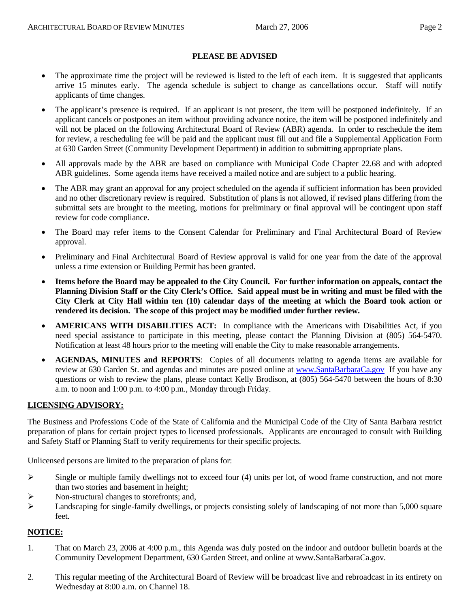#### **PLEASE BE ADVISED**

- The approximate time the project will be reviewed is listed to the left of each item. It is suggested that applicants arrive 15 minutes early. The agenda schedule is subject to change as cancellations occur. Staff will notify applicants of time changes.
- The applicant's presence is required. If an applicant is not present, the item will be postponed indefinitely. If an applicant cancels or postpones an item without providing advance notice, the item will be postponed indefinitely and will not be placed on the following Architectural Board of Review (ABR) agenda. In order to reschedule the item for review, a rescheduling fee will be paid and the applicant must fill out and file a Supplemental Application Form at 630 Garden Street (Community Development Department) in addition to submitting appropriate plans.
- All approvals made by the ABR are based on compliance with Municipal Code Chapter 22.68 and with adopted ABR guidelines. Some agenda items have received a mailed notice and are subject to a public hearing.
- The ABR may grant an approval for any project scheduled on the agenda if sufficient information has been provided and no other discretionary review is required. Substitution of plans is not allowed, if revised plans differing from the submittal sets are brought to the meeting, motions for preliminary or final approval will be contingent upon staff review for code compliance.
- The Board may refer items to the Consent Calendar for Preliminary and Final Architectural Board of Review approval.
- Preliminary and Final Architectural Board of Review approval is valid for one year from the date of the approval unless a time extension or Building Permit has been granted.
- **Items before the Board may be appealed to the City Council. For further information on appeals, contact the Planning Division Staff or the City Clerk's Office. Said appeal must be in writing and must be filed with the City Clerk at City Hall within ten (10) calendar days of the meeting at which the Board took action or rendered its decision. The scope of this project may be modified under further review.**
- **AMERICANS WITH DISABILITIES ACT:** In compliance with the Americans with Disabilities Act, if you need special assistance to participate in this meeting, please contact the Planning Division at (805) 564-5470. Notification at least 48 hours prior to the meeting will enable the City to make reasonable arrangements.
- **AGENDAS, MINUTES and REPORTS**: Copies of all documents relating to agenda items are available for review at 630 Garden St. and agendas and minutes are posted online at [www.SantaBarbaraCa.gov](http://www.santabarbaraca.gov/) If you have any questions or wish to review the plans, please contact Kelly Brodison, at (805) 564-5470 between the hours of 8:30 a.m. to noon and 1:00 p.m. to 4:00 p.m., Monday through Friday.

# **LICENSING ADVISORY:**

The Business and Professions Code of the State of California and the Municipal Code of the City of Santa Barbara restrict preparation of plans for certain project types to licensed professionals. Applicants are encouraged to consult with Building and Safety Staff or Planning Staff to verify requirements for their specific projects.

Unlicensed persons are limited to the preparation of plans for:

- $\triangleright$  Single or multiple family dwellings not to exceed four (4) units per lot, of wood frame construction, and not more than two stories and basement in height;
- ¾ Non-structural changes to storefronts; and,
- ¾ Landscaping for single-family dwellings, or projects consisting solely of landscaping of not more than 5,000 square feet.

#### **NOTICE:**

- 1. That on March 23, 2006 at 4:00 p.m., this Agenda was duly posted on the indoor and outdoor bulletin boards at the Community Development Department, 630 Garden Street, and online at www.SantaBarbaraCa.gov.
- 2. This regular meeting of the Architectural Board of Review will be broadcast live and rebroadcast in its entirety on Wednesday at 8:00 a.m. on Channel 18.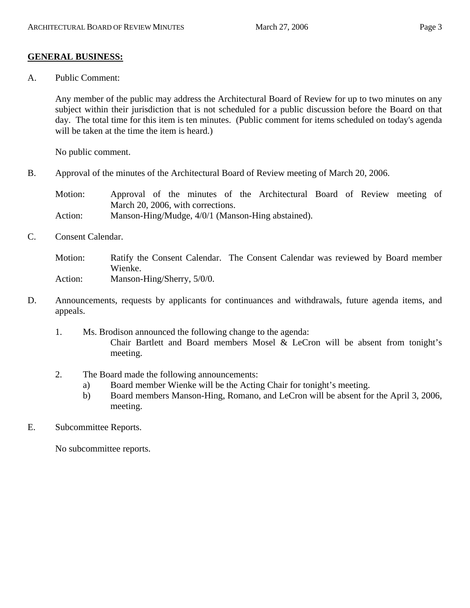# **GENERAL BUSINESS:**

A. Public Comment:

Any member of the public may address the Architectural Board of Review for up to two minutes on any subject within their jurisdiction that is not scheduled for a public discussion before the Board on that day. The total time for this item is ten minutes. (Public comment for items scheduled on today's agenda will be taken at the time the item is heard.)

No public comment.

B. Approval of the minutes of the Architectural Board of Review meeting of March 20, 2006.

Motion: Approval of the minutes of the Architectural Board of Review meeting of March 20, 2006, with corrections.

- Action: Manson-Hing/Mudge, 4/0/1 (Manson-Hing abstained).
- C. Consent Calendar.

Motion: Ratify the Consent Calendar. The Consent Calendar was reviewed by Board member Wienke. Action: Manson-Hing/Sherry, 5/0/0.

- D. Announcements, requests by applicants for continuances and withdrawals, future agenda items, and appeals.
	- 1. Ms. Brodison announced the following change to the agenda: Chair Bartlett and Board members Mosel & LeCron will be absent from tonight's meeting.
	- 2. The Board made the following announcements:
		- a) Board member Wienke will be the Acting Chair for tonight's meeting.
		- b) Board members Manson-Hing, Romano, and LeCron will be absent for the April 3, 2006, meeting.

# E. Subcommittee Reports.

No subcommittee reports.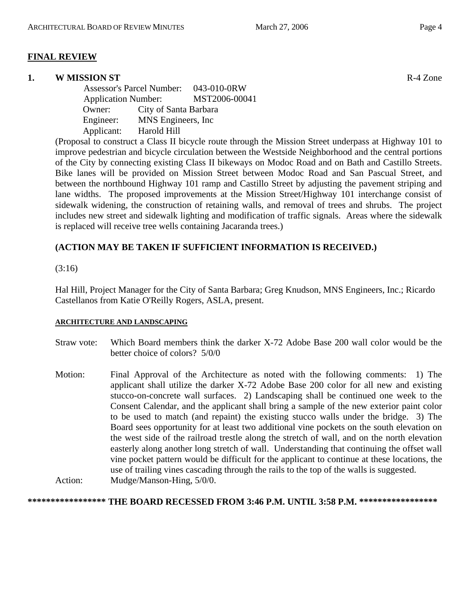#### **1. W MISSION ST** R-4 Zone

 Assessor's Parcel Number: 043-010-0RW Application Number: MST2006-00041 Owner: City of Santa Barbara Engineer: MNS Engineers, Inc Applicant: Harold Hill

(Proposal to construct a Class II bicycle route through the Mission Street underpass at Highway 101 to improve pedestrian and bicycle circulation between the Westside Neighborhood and the central portions of the City by connecting existing Class II bikeways on Modoc Road and on Bath and Castillo Streets. Bike lanes will be provided on Mission Street between Modoc Road and San Pascual Street, and between the northbound Highway 101 ramp and Castillo Street by adjusting the pavement striping and lane widths. The proposed improvements at the Mission Street/Highway 101 interchange consist of sidewalk widening, the construction of retaining walls, and removal of trees and shrubs. The project includes new street and sidewalk lighting and modification of traffic signals. Areas where the sidewalk is replaced will receive tree wells containing Jacaranda trees.)

#### **(ACTION MAY BE TAKEN IF SUFFICIENT INFORMATION IS RECEIVED.)**

#### (3:16)

Hal Hill, Project Manager for the City of Santa Barbara; Greg Knudson, MNS Engineers, Inc.; Ricardo Castellanos from Katie O'Reilly Rogers, ASLA, present.

#### **ARCHITECTURE AND LANDSCAPING**

- Straw vote: Which Board members think the darker X-72 Adobe Base 200 wall color would be the better choice of colors? 5/0/0
- Motion: Final Approval of the Architecture as noted with the following comments: 1) The applicant shall utilize the darker X-72 Adobe Base 200 color for all new and existing stucco-on-concrete wall surfaces. 2) Landscaping shall be continued one week to the Consent Calendar, and the applicant shall bring a sample of the new exterior paint color to be used to match (and repaint) the existing stucco walls under the bridge. 3) The Board sees opportunity for at least two additional vine pockets on the south elevation on the west side of the railroad trestle along the stretch of wall, and on the north elevation easterly along another long stretch of wall. Understanding that continuing the offset wall vine pocket pattern would be difficult for the applicant to continue at these locations, the use of trailing vines cascading through the rails to the top of the walls is suggested. Action: Mudge/Manson-Hing, 5/0/0.

#### **\*\*\*\*\*\*\*\*\*\*\*\*\*\*\*\*\* THE BOARD RECESSED FROM 3:46 P.M. UNTIL 3:58 P.M. \*\*\*\*\*\*\*\*\*\*\*\*\*\*\*\*\***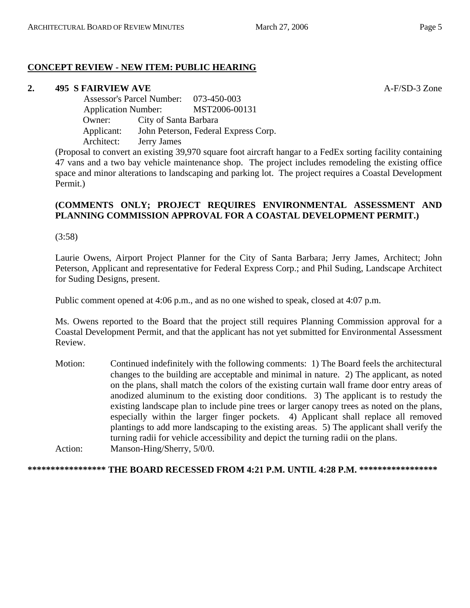# **CONCEPT REVIEW - NEW ITEM: PUBLIC HEARING**

# **2. 495 S FAIRVIEW AVE A-F/SD-3 Zone**

 Assessor's Parcel Number: 073-450-003 Application Number: MST2006-00131 Owner: City of Santa Barbara Applicant: John Peterson, Federal Express Corp. Architect: Jerry James

(Proposal to convert an existing 39,970 square foot aircraft hangar to a FedEx sorting facility containing 47 vans and a two bay vehicle maintenance shop. The project includes remodeling the existing office space and minor alterations to landscaping and parking lot. The project requires a Coastal Development Permit.)

# **(COMMENTS ONLY; PROJECT REQUIRES ENVIRONMENTAL ASSESSMENT AND PLANNING COMMISSION APPROVAL FOR A COASTAL DEVELOPMENT PERMIT.)**

(3:58)

Laurie Owens, Airport Project Planner for the City of Santa Barbara; Jerry James, Architect; John Peterson, Applicant and representative for Federal Express Corp.; and Phil Suding, Landscape Architect for Suding Designs, present.

Public comment opened at 4:06 p.m., and as no one wished to speak, closed at 4:07 p.m.

Ms. Owens reported to the Board that the project still requires Planning Commission approval for a Coastal Development Permit, and that the applicant has not yet submitted for Environmental Assessment Review.

Motion: Continued indefinitely with the following comments: 1) The Board feels the architectural changes to the building are acceptable and minimal in nature. 2) The applicant, as noted on the plans, shall match the colors of the existing curtain wall frame door entry areas of anodized aluminum to the existing door conditions. 3) The applicant is to restudy the existing landscape plan to include pine trees or larger canopy trees as noted on the plans, especially within the larger finger pockets. 4) Applicant shall replace all removed plantings to add more landscaping to the existing areas. 5) The applicant shall verify the turning radii for vehicle accessibility and depict the turning radii on the plans. Action: Manson-Hing/Sherry, 5/0/0.

# **\*\*\*\*\*\*\*\*\*\*\*\*\*\*\*\*\* THE BOARD RECESSED FROM 4:21 P.M. UNTIL 4:28 P.M. \*\*\*\*\*\*\*\*\*\*\*\*\*\*\*\*\***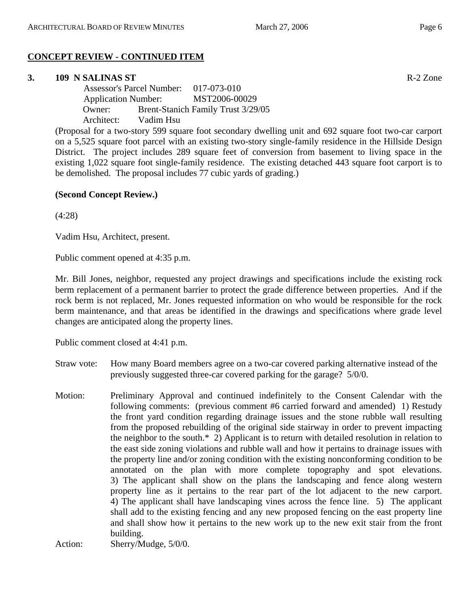#### **CONCEPT REVIEW - CONTINUED ITEM**

#### **3. 109 N SALINAS ST** R-2 Zone

 Assessor's Parcel Number: 017-073-010 Application Number: MST2006-00029 Owner: Brent-Stanich Family Trust 3/29/05 Architect: Vadim Hsu

(Proposal for a two-story 599 square foot secondary dwelling unit and 692 square foot two-car carport on a 5,525 square foot parcel with an existing two-story single-family residence in the Hillside Design District. The project includes 289 square feet of conversion from basement to living space in the existing 1,022 square foot single-family residence. The existing detached 443 square foot carport is to be demolished. The proposal includes 77 cubic yards of grading.)

#### **(Second Concept Review.)**

(4:28)

Vadim Hsu, Architect, present.

Public comment opened at 4:35 p.m.

Mr. Bill Jones, neighbor, requested any project drawings and specifications include the existing rock berm replacement of a permanent barrier to protect the grade difference between properties. And if the rock berm is not replaced, Mr. Jones requested information on who would be responsible for the rock berm maintenance, and that areas be identified in the drawings and specifications where grade level changes are anticipated along the property lines.

Public comment closed at 4:41 p.m.

- Straw vote: How many Board members agree on a two-car covered parking alternative instead of the previously suggested three-car covered parking for the garage? 5/0/0.
- Motion: Preliminary Approval and continued indefinitely to the Consent Calendar with the following comments: (previous comment #6 carried forward and amended) 1) Restudy the front yard condition regarding drainage issues and the stone rubble wall resulting from the proposed rebuilding of the original side stairway in order to prevent impacting the neighbor to the south.\* 2) Applicant is to return with detailed resolution in relation to the east side zoning violations and rubble wall and how it pertains to drainage issues with the property line and/or zoning condition with the existing nonconforming condition to be annotated on the plan with more complete topography and spot elevations. 3) The applicant shall show on the plans the landscaping and fence along western property line as it pertains to the rear part of the lot adjacent to the new carport. 4) The applicant shall have landscaping vines across the fence line. 5) The applicant shall add to the existing fencing and any new proposed fencing on the east property line and shall show how it pertains to the new work up to the new exit stair from the front building.

Action: Sherry/Mudge, 5/0/0.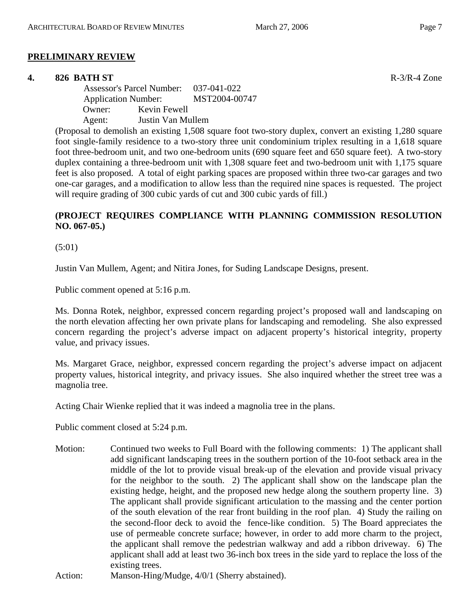#### **PRELIMINARY REVIEW**

#### **4. 826 BATH ST** R-3/R-4 Zone

 Assessor's Parcel Number: 037-041-022 Application Number: MST2004-00747 Owner: Kevin Fewell Agent: Justin Van Mullem

(Proposal to demolish an existing 1,508 square foot two-story duplex, convert an existing 1,280 square foot single-family residence to a two-story three unit condominium triplex resulting in a 1,618 square foot three-bedroom unit, and two one-bedroom units (690 square feet and 650 square feet). A two-story duplex containing a three-bedroom unit with 1,308 square feet and two-bedroom unit with 1,175 square feet is also proposed. A total of eight parking spaces are proposed within three two-car garages and two one-car garages, and a modification to allow less than the required nine spaces is requested. The project will require grading of 300 cubic yards of cut and 300 cubic yards of fill.)

# **(PROJECT REQUIRES COMPLIANCE WITH PLANNING COMMISSION RESOLUTION NO. 067-05.)**

(5:01)

Justin Van Mullem, Agent; and Nitira Jones, for Suding Landscape Designs, present.

Public comment opened at 5:16 p.m.

Ms. Donna Rotek, neighbor, expressed concern regarding project's proposed wall and landscaping on the north elevation affecting her own private plans for landscaping and remodeling. She also expressed concern regarding the project's adverse impact on adjacent property's historical integrity, property value, and privacy issues.

Ms. Margaret Grace, neighbor, expressed concern regarding the project's adverse impact on adjacent property values, historical integrity, and privacy issues. She also inquired whether the street tree was a magnolia tree.

Acting Chair Wienke replied that it was indeed a magnolia tree in the plans.

Public comment closed at 5:24 p.m.

Motion: Continued two weeks to Full Board with the following comments: 1) The applicant shall add significant landscaping trees in the southern portion of the 10-foot setback area in the middle of the lot to provide visual break-up of the elevation and provide visual privacy for the neighbor to the south. 2) The applicant shall show on the landscape plan the existing hedge, height, and the proposed new hedge along the southern property line. 3) The applicant shall provide significant articulation to the massing and the center portion of the south elevation of the rear front building in the roof plan. 4) Study the railing on the second-floor deck to avoid the fence-like condition. 5) The Board appreciates the use of permeable concrete surface; however, in order to add more charm to the project, the applicant shall remove the pedestrian walkway and add a ribbon driveway. 6) The applicant shall add at least two 36-inch box trees in the side yard to replace the loss of the existing trees.

Action: Manson-Hing/Mudge, 4/0/1 (Sherry abstained).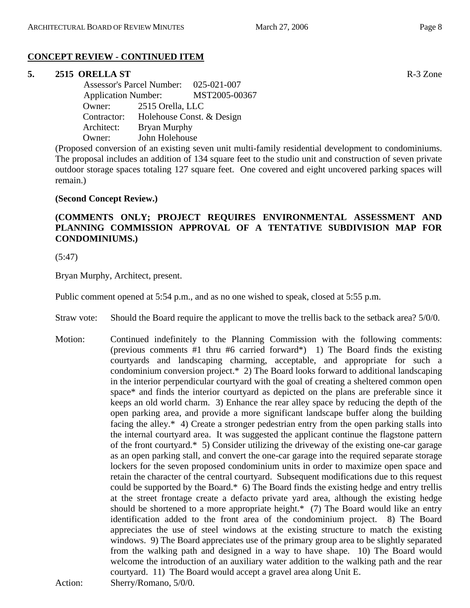# **CONCEPT REVIEW - CONTINUED ITEM**

#### **5. 2515 ORELLA ST** R-3 Zone

 Assessor's Parcel Number: 025-021-007 Application Number: MST2005-00367 Owner: 2515 Orella, LLC Contractor: Holehouse Const. & Design Architect: Bryan Murphy Owner: John Holehouse

(Proposed conversion of an existing seven unit multi-family residential development to condominiums. The proposal includes an addition of 134 square feet to the studio unit and construction of seven private outdoor storage spaces totaling 127 square feet. One covered and eight uncovered parking spaces will remain.)

#### **(Second Concept Review.)**

# **(COMMENTS ONLY; PROJECT REQUIRES ENVIRONMENTAL ASSESSMENT AND PLANNING COMMISSION APPROVAL OF A TENTATIVE SUBDIVISION MAP FOR CONDOMINIUMS.)**

(5:47)

Bryan Murphy, Architect, present.

Public comment opened at 5:54 p.m., and as no one wished to speak, closed at 5:55 p.m.

- Straw vote: Should the Board require the applicant to move the trellis back to the setback area? 5/0/0.
- Motion: Continued indefinitely to the Planning Commission with the following comments: (previous comments #1 thru #6 carried forward\*) 1) The Board finds the existing courtyards and landscaping charming, acceptable, and appropriate for such a condominium conversion project.\* 2) The Board looks forward to additional landscaping in the interior perpendicular courtyard with the goal of creating a sheltered common open space\* and finds the interior courtyard as depicted on the plans are preferable since it keeps an old world charm. 3) Enhance the rear alley space by reducing the depth of the open parking area, and provide a more significant landscape buffer along the building facing the alley.\* 4) Create a stronger pedestrian entry from the open parking stalls into the internal courtyard area. It was suggested the applicant continue the flagstone pattern of the front courtyard.\* 5) Consider utilizing the driveway of the existing one-car garage as an open parking stall, and convert the one-car garage into the required separate storage lockers for the seven proposed condominium units in order to maximize open space and retain the character of the central courtyard. Subsequent modifications due to this request could be supported by the Board.\* 6) The Board finds the existing hedge and entry trellis at the street frontage create a defacto private yard area, although the existing hedge should be shortened to a more appropriate height.\* (7) The Board would like an entry identification added to the front area of the condominium project. 8) The Board appreciates the use of steel windows at the existing structure to match the existing windows. 9) The Board appreciates use of the primary group area to be slightly separated from the walking path and designed in a way to have shape. 10) The Board would welcome the introduction of an auxiliary water addition to the walking path and the rear courtyard. 11) The Board would accept a gravel area along Unit E. Action: Sherry/Romano, 5/0/0.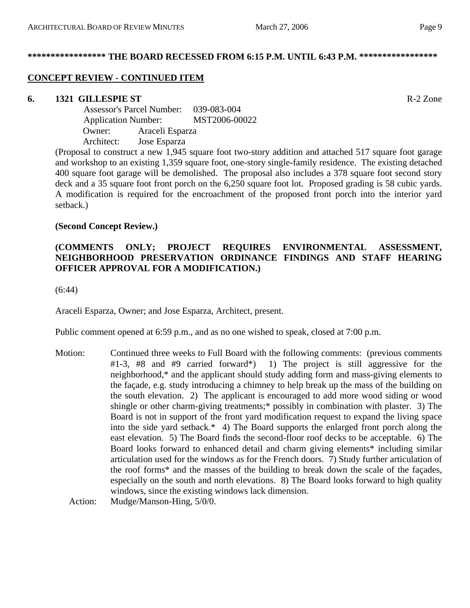#### **\*\*\*\*\*\*\*\*\*\*\*\*\*\*\*\*\* THE BOARD RECESSED FROM 6:15 P.M. UNTIL 6:43 P.M. \*\*\*\*\*\*\*\*\*\*\*\*\*\*\*\*\***

# **CONCEPT REVIEW - CONTINUED ITEM**

# **6. 1321 GILLESPIE ST** R-2 Zone

 Assessor's Parcel Number: 039-083-004 Application Number: MST2006-00022 Owner: Araceli Esparza Architect: Jose Esparza

(Proposal to construct a new 1,945 square foot two-story addition and attached 517 square foot garage and workshop to an existing 1,359 square foot, one-story single-family residence. The existing detached 400 square foot garage will be demolished. The proposal also includes a 378 square foot second story deck and a 35 square foot front porch on the 6,250 square foot lot. Proposed grading is 58 cubic yards. A modification is required for the encroachment of the proposed front porch into the interior yard setback.)

#### **(Second Concept Review.)**

# **(COMMENTS ONLY; PROJECT REQUIRES ENVIRONMENTAL ASSESSMENT, NEIGHBORHOOD PRESERVATION ORDINANCE FINDINGS AND STAFF HEARING OFFICER APPROVAL FOR A MODIFICATION.)**

(6:44)

Araceli Esparza, Owner; and Jose Esparza, Architect, present.

Public comment opened at 6:59 p.m., and as no one wished to speak, closed at 7:00 p.m.

Motion: Continued three weeks to Full Board with the following comments: (previous comments #1-3, #8 and #9 carried forward\*) 1) The project is still aggressive for the neighborhood,\* and the applicant should study adding form and mass-giving elements to the façade, e.g. study introducing a chimney to help break up the mass of the building on the south elevation. 2) The applicant is encouraged to add more wood siding or wood shingle or other charm-giving treatments;\* possibly in combination with plaster. 3) The Board is not in support of the front yard modification request to expand the living space into the side yard setback.\* 4) The Board supports the enlarged front porch along the east elevation. 5) The Board finds the second-floor roof decks to be acceptable. 6) The Board looks forward to enhanced detail and charm giving elements\* including similar articulation used for the windows as for the French doors. 7) Study further articulation of the roof forms\* and the masses of the building to break down the scale of the façades, especially on the south and north elevations. 8) The Board looks forward to high quality windows, since the existing windows lack dimension.

Action: Mudge/Manson-Hing, 5/0/0.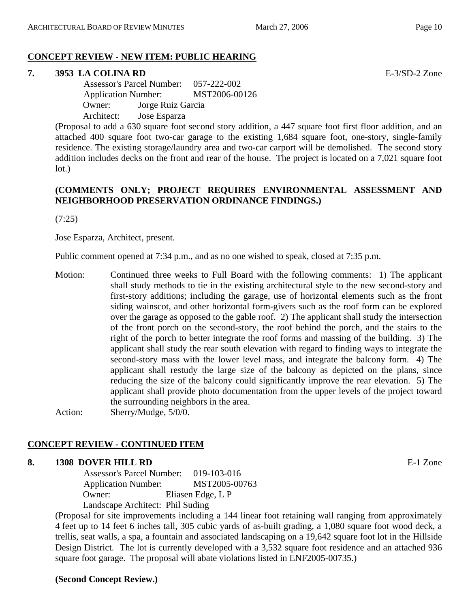# **CONCEPT REVIEW - NEW ITEM: PUBLIC HEARING**

# **7. 3953 LA COLINA RD** E-3/SD-2 Zone

 Assessor's Parcel Number: 057-222-002 Application Number: MST2006-00126 Owner: Jorge Ruiz Garcia Architect: Jose Esparza

(Proposal to add a 630 square foot second story addition, a 447 square foot first floor addition, and an attached 400 square foot two-car garage to the existing 1,684 square foot, one-story, single-family residence. The existing storage/laundry area and two-car carport will be demolished. The second story addition includes decks on the front and rear of the house. The project is located on a 7,021 square foot lot.)

# **(COMMENTS ONLY; PROJECT REQUIRES ENVIRONMENTAL ASSESSMENT AND NEIGHBORHOOD PRESERVATION ORDINANCE FINDINGS.)**

(7:25)

Jose Esparza, Architect, present.

Public comment opened at 7:34 p.m., and as no one wished to speak, closed at 7:35 p.m.

Motion: Continued three weeks to Full Board with the following comments: 1) The applicant shall study methods to tie in the existing architectural style to the new second-story and first-story additions; including the garage, use of horizontal elements such as the front siding wainscot, and other horizontal form-givers such as the roof form can be explored over the garage as opposed to the gable roof. 2) The applicant shall study the intersection of the front porch on the second-story, the roof behind the porch, and the stairs to the right of the porch to better integrate the roof forms and massing of the building. 3) The applicant shall study the rear south elevation with regard to finding ways to integrate the second-story mass with the lower level mass, and integrate the balcony form. 4) The applicant shall restudy the large size of the balcony as depicted on the plans, since reducing the size of the balcony could significantly improve the rear elevation. 5) The applicant shall provide photo documentation from the upper levels of the project toward the surrounding neighbors in the area.

Action: Sherry/Mudge, 5/0/0.

# **CONCEPT REVIEW - CONTINUED ITEM**

#### **8. 1308 DOVER HILL RD E-1 Zone**

 Assessor's Parcel Number: 019-103-016 Application Number: MST2005-00763 Owner: Eliasen Edge, L P Landscape Architect: Phil Suding

(Proposal for site improvements including a 144 linear foot retaining wall ranging from approximately 4 feet up to 14 feet 6 inches tall, 305 cubic yards of as-built grading, a 1,080 square foot wood deck, a trellis, seat walls, a spa, a fountain and associated landscaping on a 19,642 square foot lot in the Hillside Design District. The lot is currently developed with a 3,532 square foot residence and an attached 936 square foot garage. The proposal will abate violations listed in ENF2005-00735.)

#### **(Second Concept Review.)**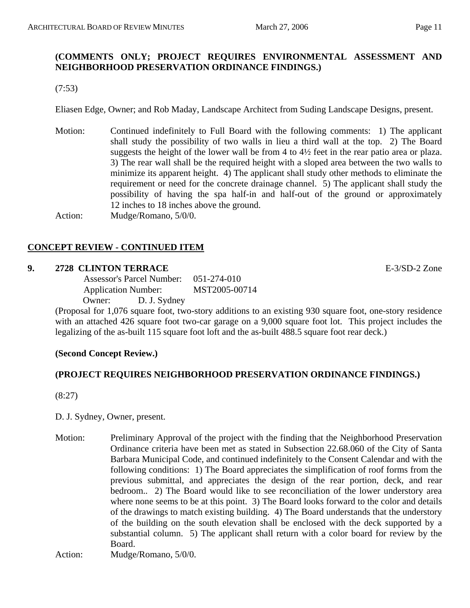# **(COMMENTS ONLY; PROJECT REQUIRES ENVIRONMENTAL ASSESSMENT AND NEIGHBORHOOD PRESERVATION ORDINANCE FINDINGS.)**

(7:53)

Eliasen Edge, Owner; and Rob Maday, Landscape Architect from Suding Landscape Designs, present.

Motion: Continued indefinitely to Full Board with the following comments: 1) The applicant shall study the possibility of two walls in lieu a third wall at the top. 2) The Board suggests the height of the lower wall be from 4 to 4½ feet in the rear patio area or plaza. 3) The rear wall shall be the required height with a sloped area between the two walls to minimize its apparent height. 4) The applicant shall study other methods to eliminate the requirement or need for the concrete drainage channel. 5) The applicant shall study the possibility of having the spa half-in and half-out of the ground or approximately 12 inches to 18 inches above the ground.

Action: Mudge/Romano, 5/0/0.

# **CONCEPT REVIEW - CONTINUED ITEM**

#### **9. 2728 CLINTON TERRACE** E-3/SD-2 Zone

 Assessor's Parcel Number: 051-274-010 Application Number: MST2005-00714 Owner: D. J. Sydney

(Proposal for 1,076 square foot, two-story additions to an existing 930 square foot, one-story residence with an attached 426 square foot two-car garage on a 9,000 square foot lot. This project includes the legalizing of the as-built 115 square foot loft and the as-built 488.5 square foot rear deck.)

# **(Second Concept Review.)**

# **(PROJECT REQUIRES NEIGHBORHOOD PRESERVATION ORDINANCE FINDINGS.)**

(8:27)

D. J. Sydney, Owner, present.

Motion: Preliminary Approval of the project with the finding that the Neighborhood Preservation Ordinance criteria have been met as stated in Subsection 22.68.060 of the City of Santa Barbara Municipal Code, and continued indefinitely to the Consent Calendar and with the following conditions: 1) The Board appreciates the simplification of roof forms from the previous submittal, and appreciates the design of the rear portion, deck, and rear bedroom.. 2) The Board would like to see reconciliation of the lower understory area where none seems to be at this point. 3) The Board looks forward to the color and details of the drawings to match existing building. 4) The Board understands that the understory of the building on the south elevation shall be enclosed with the deck supported by a substantial column. 5) The applicant shall return with a color board for review by the Board.

Action: Mudge/Romano, 5/0/0.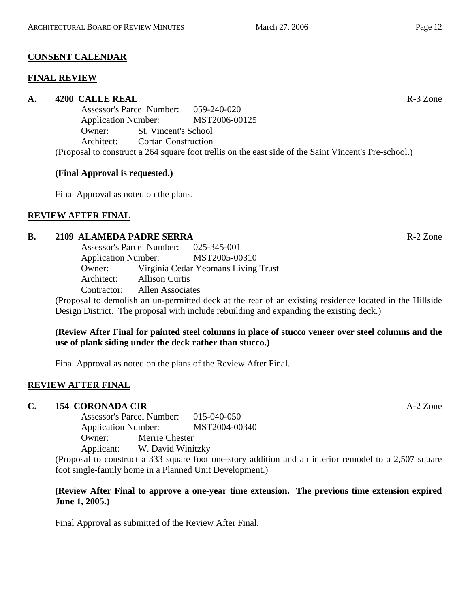# **CONSENT CALENDAR**

#### **FINAL REVIEW**

# **A. 4200 CALLE REAL** R-3 Zone

Assessor's Parcel Number: 059-240-020 Application Number: MST2006-00125 Owner: St. Vincent's School Architect: Cortan Construction (Proposal to construct a 264 square foot trellis on the east side of the Saint Vincent's Pre-school.)

# **(Final Approval is requested.)**

Final Approval as noted on the plans.

# **REVIEW AFTER FINAL**

# **B. 2109 ALAMEDA PADRE SERRA** R-2 Zone

Assessor's Parcel Number: 025-345-001 Application Number: MST2005-00310 Owner: Virginia Cedar Yeomans Living Trust Architect: Allison Curtis Contractor: Allen Associates

(Proposal to demolish an un-permitted deck at the rear of an existing residence located in the Hillside Design District. The proposal with include rebuilding and expanding the existing deck.)

#### **(Review After Final for painted steel columns in place of stucco veneer over steel columns and the use of plank siding under the deck rather than stucco.)**

Final Approval as noted on the plans of the Review After Final.

# **REVIEW AFTER FINAL**

# **C. 154 CORONADA CIR** A-2 Zone

Assessor's Parcel Number: 015-040-050 Application Number: MST2004-00340 Owner: Merrie Chester Applicant: W. David Winitzky

(Proposal to construct a 333 square foot one-story addition and an interior remodel to a 2,507 square foot single-family home in a Planned Unit Development.)

#### **(Review After Final to approve a one-year time extension. The previous time extension expired June 1, 2005.)**

Final Approval as submitted of the Review After Final.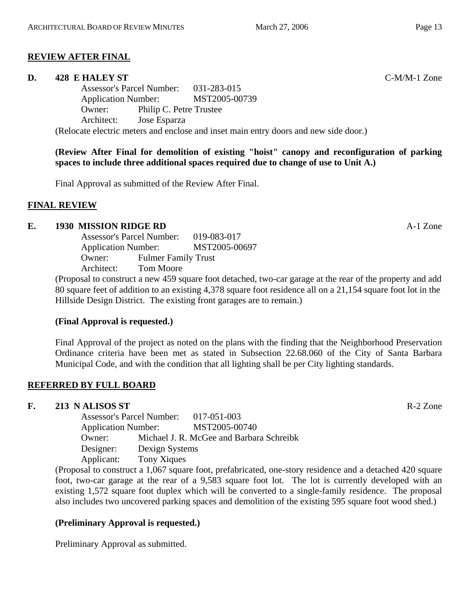# **REVIEW AFTER FINAL**

#### **D. 428 E HALEY ST** C-M/M-1 Zone

Assessor's Parcel Number: 031-283-015 Application Number: MST2005-00739 Owner: Philip C. Petre Trustee Architect: Jose Esparza (Relocate electric meters and enclose and inset main entry doors and new side door.)

**(Review After Final for demolition of existing "hoist" canopy and reconfiguration of parking spaces to include three additional spaces required due to change of use to Unit A.)** 

Final Approval as submitted of the Review After Final.

# **FINAL REVIEW**

#### **E. 1930 MISSION RIDGE RD** A-1 Zone

Assessor's Parcel Number: 019-083-017 Application Number: MST2005-00697 Owner: Fulmer Family Trust Architect: Tom Moore

(Proposal to construct a new 459 square foot detached, two-car garage at the rear of the property and add 80 square feet of addition to an existing 4,378 square foot residence all on a 21,154 square foot lot in the Hillside Design District. The existing front garages are to remain.)

# **(Final Approval is requested.)**

Final Approval of the project as noted on the plans with the finding that the Neighborhood Preservation Ordinance criteria have been met as stated in Subsection 22.68.060 of the City of Santa Barbara Municipal Code, and with the condition that all lighting shall be per City lighting standards.

# **REFERRED BY FULL BOARD**

#### **F. 213 N ALISOS ST** R-2 Zone

Assessor's Parcel Number: 017-051-003 Application Number: MST2005-00740 Owner: Michael J. R. McGee and Barbara Schreibk Designer: Dexign Systems Applicant: Tony Xiques

(Proposal to construct a 1,067 square foot, prefabricated, one-story residence and a detached 420 square foot, two-car garage at the rear of a 9,583 square foot lot. The lot is currently developed with an existing 1,572 square foot duplex which will be converted to a single-family residence. The proposal also includes two uncovered parking spaces and demolition of the existing 595 square foot wood shed.)

# **(Preliminary Approval is requested.)**

Preliminary Approval as submitted.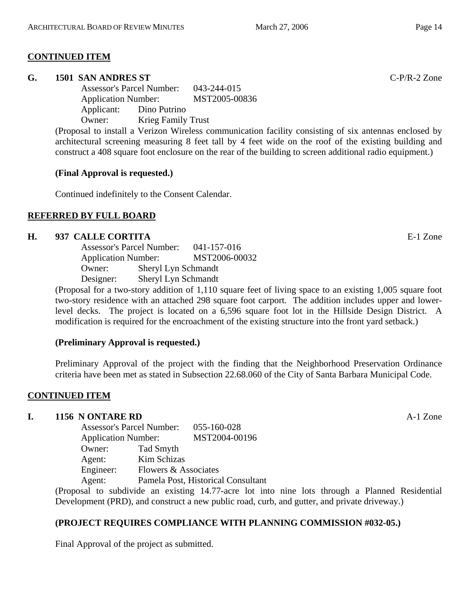#### **CONTINUED ITEM**

#### **G. 1501 SAN ANDRES ST** C-P/R-2 Zone

Assessor's Parcel Number: 043-244-015 Application Number: MST2005-00836 Applicant: Dino Putrino Owner: Krieg Family Trust

(Proposal to install a Verizon Wireless communication facility consisting of six antennas enclosed by architectural screening measuring 8 feet tall by 4 feet wide on the roof of the existing building and construct a 408 square foot enclosure on the rear of the building to screen additional radio equipment.)

#### **(Final Approval is requested.)**

Continued indefinitely to the Consent Calendar.

#### **REFERRED BY FULL BOARD**

#### **H. 937 CALLE CORTITA** E-1 Zone

| <b>Assessor's Parcel Number:</b> | 041-157-016         |               |
|----------------------------------|---------------------|---------------|
| <b>Application Number:</b>       |                     | MST2006-00032 |
| Owner:                           | Sheryl Lyn Schmandt |               |
| Designer:                        | Sheryl Lyn Schmandt |               |
|                                  |                     |               |

(Proposal for a two-story addition of 1,110 square feet of living space to an existing 1,005 square foot two-story residence with an attached 298 square foot carport. The addition includes upper and lowerlevel decks. The project is located on a 6,596 square foot lot in the Hillside Design District. A modification is required for the encroachment of the existing structure into the front yard setback.)

#### **(Preliminary Approval is requested.)**

Preliminary Approval of the project with the finding that the Neighborhood Preservation Ordinance criteria have been met as stated in Subsection 22.68.060 of the City of Santa Barbara Municipal Code.

#### **CONTINUED ITEM**

# **I. 1156 N ONTARE RD** A-1 Zone

| <b>Assessor's Parcel Number:</b> |                                                                      | 055-160-028   |  |
|----------------------------------|----------------------------------------------------------------------|---------------|--|
| <b>Application Number:</b>       |                                                                      | MST2004-00196 |  |
| Owner:                           | Tad Smyth                                                            |               |  |
| Agent:                           | Kim Schizas                                                          |               |  |
| Engineer:                        | Flowers & Associates<br>Pamela Post, Historical Consultant<br>Agent: |               |  |
|                                  |                                                                      |               |  |

(Proposal to subdivide an existing 14.77-acre lot into nine lots through a Planned Residential Development (PRD), and construct a new public road, curb, and gutter, and private driveway.)

#### **(PROJECT REQUIRES COMPLIANCE WITH PLANNING COMMISSION #032-05.)**

Final Approval of the project as submitted.